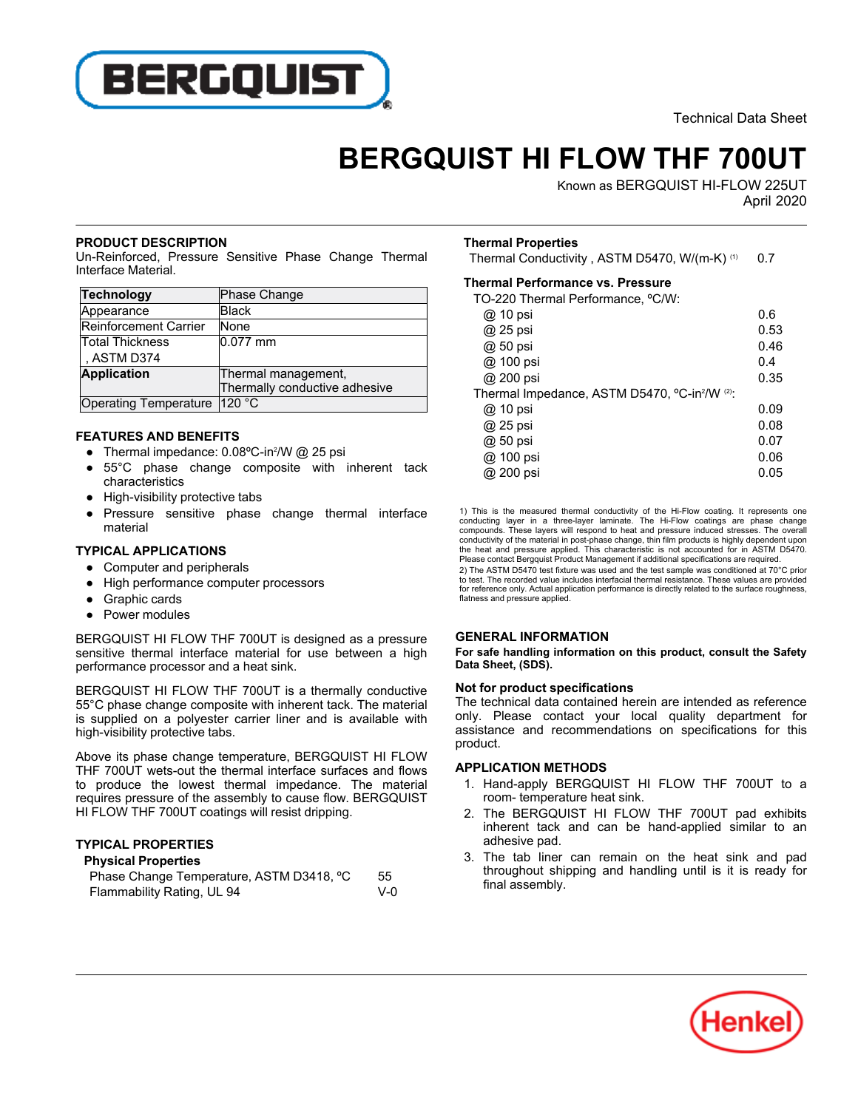

Technical Data Sheet

# **BERGQUIST HI FLOW THF 700UT**

Known as BERGQUIST HI-FLOW 225UT April-2020

#### **PRODUCT DESCRIPTION**

Un-Reinforced, Pressure Sensitive Phase Change Thermal **Unification Codentified**.<br>Interface Material.

| <b>Technology</b>              | Phase Change                  |
|--------------------------------|-------------------------------|
| Appearance                     | <b>Black</b>                  |
| Reinforcement Carrier          | None                          |
| Total Thickness                | 0.077 mm                      |
| , ASTM D374                    |                               |
| <b>Application</b>             | Thermal management,           |
|                                | Thermally conductive adhesive |
| Operating Temperature   120 °C |                               |

## **FEATURES AND BENEFITS**

- Thermal impedance: 0.08°C-in?/W @ 25 psi
- $\overline{\phantom{a}}$  55°C phase change composite with inherent tack characteristics
- $\overline{\phantom{a}}$ High-visibility protective tabs
- $\overline{\phantom{a}}$  Pressure sensitive phase change thermal interface material

## **TYPICAL APPLICATIONS**

- Computer and peripherals
- $\overline{\phantom{a}}$ High performance computer processors
- $\overline{\phantom{a}}$ Graphic cards
- $\overline{\phantom{a}}$ Power modules

BERGQUIST HI FLOW THF 700UT is designed as a pressure sensitive thermal interface material for use between a high performance processor and a heat sink.

BERGQUIST HI FLOW THF 700UT is a thermally conductive 55°C phase change composite with inherent tack. The material is supplied on a polyester carrier liner and is available with is supplied on a polyester.

Above its phase change temperature, BERGQUIST HI FLOW THF 700UT wets-out the thermal interface surfaces and flows to produce the lowest thermal impedance. The material requires pressure of the assembly to cause flow. BERGQUIST HI FLOW THF 700UT coatings will resist dripping.

## **TYPICAL PROPERTIES**

## **Physical Properties**

| Phase Change Temperature, ASTM D3418, °C | 55      |
|------------------------------------------|---------|
| Flammability Rating, UL 94               | $V - 0$ |

# **Thermal Properties**

Thermal Conductivity , ASTM D5470, W/(m-K) (1) 0.7

## **Thermal Performance vs. Pressure**

TO-220 Thermal Performance, ºC/W:

| @ 10 psi                                     | 0.6  |
|----------------------------------------------|------|
| @ 25 psi                                     | 0.53 |
| @ 50 psi                                     | 0.46 |
| @ 100 psi                                    | 0.4  |
| @ 200 psi                                    | 0.35 |
| Thermal Impedance, ASTM D5470, °C-in?/W <2): |      |
| @ 10 psi                                     | 0.09 |
| @ 25 psi                                     | 0.08 |
| @ 50 psi                                     | 0.07 |
| @ 100 psi                                    | 0.06 |
| @ 200 psi                                    | 0.05 |
|                                              |      |

1) This is the measured thermal conductivity of the Hi-Flow coating. It represents one conducting layer in a three-layer laminate. The Hi-Flow coatings are phase change<br>compounds. These layers will respond to heat and pres conductivity of the material in post-phase change, thin film products is highly dependent upon the heat and pressure applied. This characteristic is not accounted for in ASTM D5470. Please contact Bergquist Product Management if additional specifications are required.

2) The ASTM D5470 test fixture was used and the test sample was conditioned at 70°C prior to test. The recorded value includes interfacial thermal resistance. These values are provided for reference only. Actual application performance is directly related to the surface roughness. flatness and pressure applied.

#### **GENERAL INFORMATION**

**For safe handling information on this product, consult the Safety Data Sheet, (SDS).**

## **Not for product specifications**

The technical data contained herein are intended as reference only. Please contact your local quality department for assistance and recommendations on specifications for this product.

#### **APPLICATION METHODS**

- 1. Hand-apply BERGQUIST HI FLOW THF 700UT to a riand apply BERGGOIOT T
- 2. The BERGQUIST HI FLOW THF 700UT pad exhibits inherent tack and can be hand-applied similar to an micrent tack<br>adhesive pad.
- 3. The tab liner can remain on the heat sink and pad throughout shipping and handling until is it is ready for final assembly.